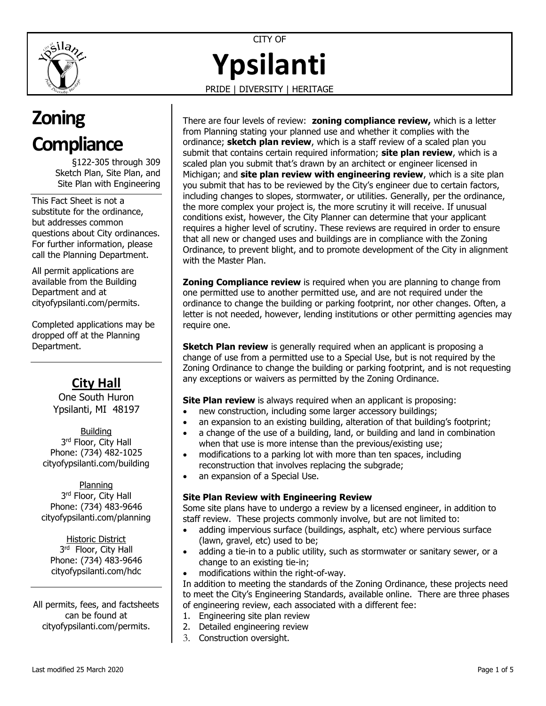

CITY OF **Ypsilanti**

PRIDE | DIVERSITY | HERITAGE

# **Zoning Compliance**

§122-305 through 309 Sketch Plan, Site Plan, and Site Plan with Engineering

This Fact Sheet is not a substitute for the ordinance, but addresses common questions about City ordinances. For further information, please call the Planning Department.

All permit applications are available from the Building Department and at [cityofypsilanti.com/permits.](http://www.cityofypsilanti.com/permits)

Completed applications may be dropped off at the Planning Department.

# **City Hall**

One South Huron Ypsilanti, MI 48197

**Building** 3<sup>rd</sup> Floor, City Hall Phone: (734) 482-1025 [cityofypsilanti.com/building](http://www.cityofypsilanti.com/building)

Planning 3<sup>rd</sup> Floor, City Hall Phone: (734) 483-9646 [cityofypsilanti.com/planning](http://www.cityofypsilanti.com/planning)

Historic District 3<sup>rd</sup> Floor, City Hall Phone: (734) 483-9646 [cityofypsilanti.com/hdc](http://www.cityofypsilanti.com/hdc)

All permits, fees, and factsheets can be found at [cityofypsilanti.com/permits.](http://www.cityofypsilanti.com/permits)

There are four levels of review: **zoning compliance review,** which is a letter from Planning stating your planned use and whether it complies with the ordinance; **sketch plan review**, which is a staff review of a scaled plan you submit that contains certain required information; **site plan review**, which is a scaled plan you submit that's drawn by an architect or engineer licensed in Michigan; and **site plan review with engineering review**, which is a site plan you submit that has to be reviewed by the City's engineer due to certain factors, including changes to slopes, stormwater, or utilities. Generally, per the ordinance, the more complex your project is, the more scrutiny it will receive. If unusual conditions exist, however, the City Planner can determine that your applicant requires a higher level of scrutiny. These reviews are required in order to ensure that all new or changed uses and buildings are in compliance with the Zoning Ordinance, to prevent blight, and to promote development of the City in alignment with the Master Plan.

**Zoning Compliance review** is required when you are planning to change from one permitted use to another permitted use, and are not required under the ordinance to change the building or parking footprint, nor other changes. Often, a letter is not needed, however, lending institutions or other permitting agencies may require one.

**Sketch Plan review** is generally required when an applicant is proposing a change of use from a permitted use to a Special Use, but is not required by the Zoning Ordinance to change the building or parking footprint, and is not requesting any exceptions or waivers as permitted by the Zoning Ordinance.

**Site Plan review** is always required when an applicant is proposing:

- new construction, including some larger accessory buildings;
- an expansion to an existing building, alteration of that building's footprint;
- a change of the use of a building, land, or building and land in combination when that use is more intense than the previous/existing use;
- modifications to a parking lot with more than ten spaces, including reconstruction that involves replacing the subgrade;
- an expansion of a Special Use.

## **Site Plan Review with Engineering Review**

Some site plans have to undergo a review by a licensed engineer, in addition to staff review. These projects commonly involve, but are not limited to:

- adding impervious surface (buildings, asphalt, etc) where pervious surface (lawn, gravel, etc) used to be;
- adding a tie-in to a public utility, such as stormwater or sanitary sewer, or a change to an existing tie-in;
- modifications within the right-of-way.

In addition to meeting the standards of the Zoning Ordinance, these projects need to meet the City's Engineering Standards, available online. There are three phases of engineering review, each associated with a different fee:

- 1. Engineering site plan review
- 2. Detailed engineering review
- 3. Construction oversight.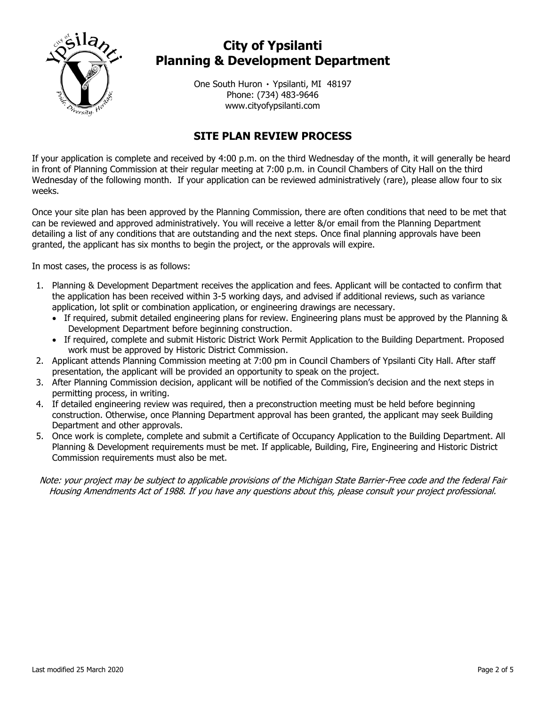

# **City of Ypsilanti Planning & Development Department**

One South Huron ۰ Ypsilanti, MI 48197 Phone: (734) 483-9646 www.cityofypsilanti.com

# **SITE PLAN REVIEW PROCESS**

If your application is complete and received by 4:00 p.m. on the third Wednesday of the month, it will generally be heard in front of Planning Commission at their regular meeting at 7:00 p.m. in Council Chambers of City Hall on the third Wednesday of the following month. If your application can be reviewed administratively (rare), please allow four to six weeks.

Once your site plan has been approved by the Planning Commission, there are often conditions that need to be met that can be reviewed and approved administratively. You will receive a letter &/or email from the Planning Department detailing a list of any conditions that are outstanding and the next steps. Once final planning approvals have been granted, the applicant has six months to begin the project, or the approvals will expire.

In most cases, the process is as follows:

- 1. Planning & Development Department receives the application and fees. Applicant will be contacted to confirm that the application has been received within 3-5 working days, and advised if additional reviews, such as variance application, lot split or combination application, or engineering drawings are necessary.
	- If required, submit detailed engineering plans for review. Engineering plans must be approved by the Planning & Development Department before beginning construction.
	- If required, complete and submit Historic District Work Permit Application to the Building Department. Proposed work must be approved by Historic District Commission.
- 2. Applicant attends Planning Commission meeting at 7:00 pm in Council Chambers of Ypsilanti City Hall. After staff presentation, the applicant will be provided an opportunity to speak on the project.
- 3. After Planning Commission decision, applicant will be notified of the Commission's decision and the next steps in permitting process, in writing.
- 4. If detailed engineering review was required, then a preconstruction meeting must be held before beginning construction. Otherwise, once Planning Department approval has been granted, the applicant may seek Building Department and other approvals.
- 5. Once work is complete, complete and submit a Certificate of Occupancy Application to the Building Department. All Planning & Development requirements must be met. If applicable, Building, Fire, Engineering and Historic District Commission requirements must also be met.

Note: your project may be subject to applicable provisions of the Michigan State Barrier-Free code and the federal Fair Housing Amendments Act of 1988. If you have any questions about this, please consult your project professional.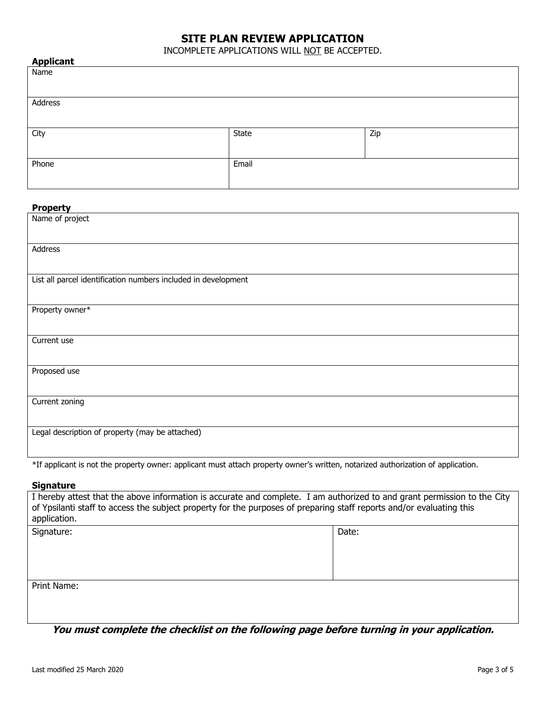## **SITE PLAN REVIEW APPLICATION**

INCOMPLETE APPLICATIONS WILL NOT BE ACCEPTED.

| <b>Applicant</b> |       |     |
|------------------|-------|-----|
| Name             |       |     |
|                  |       |     |
|                  |       |     |
| Address          |       |     |
|                  |       |     |
|                  |       |     |
| City             | State | Zip |
|                  |       |     |
|                  |       |     |
| Phone            | Email |     |
|                  |       |     |
|                  |       |     |

#### **Property**

| Name of project                                                |
|----------------------------------------------------------------|
| Address                                                        |
| List all parcel identification numbers included in development |
| Property owner*                                                |
| Current use                                                    |
| Proposed use                                                   |
| Current zoning                                                 |
| Legal description of property (may be attached)                |

\*If applicant is not the property owner: applicant must attach property owner's written, notarized authorization of application.

#### **Signature**

| I hereby attest that the above information is accurate and complete. I am authorized to and grant permission to the City<br>of Ypsilanti staff to access the subject property for the purposes of preparing staff reports and/or evaluating this<br>application. |       |  |
|------------------------------------------------------------------------------------------------------------------------------------------------------------------------------------------------------------------------------------------------------------------|-------|--|
| Signature:                                                                                                                                                                                                                                                       | Date: |  |
| Print Name:                                                                                                                                                                                                                                                      |       |  |

**You must complete the checklist on the following page before turning in your application.**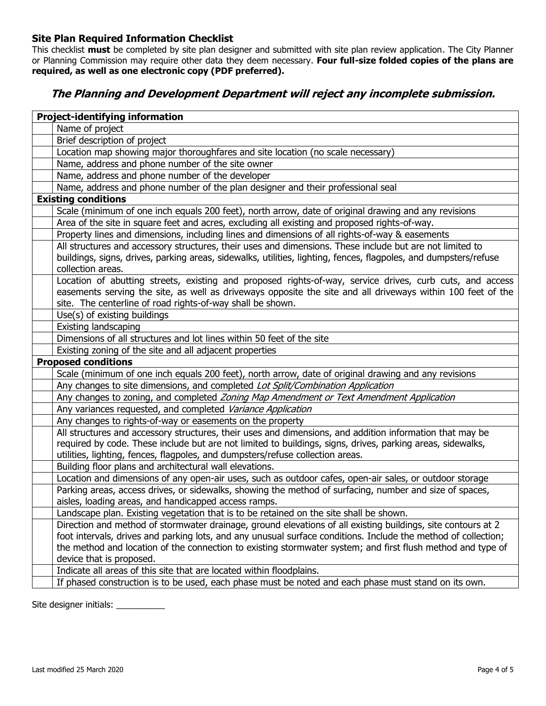## **Site Plan Required Information Checklist**

This checklist **must** be completed by site plan designer and submitted with site plan review application. The City Planner or Planning Commission may require other data they deem necessary. **Four full-size folded copies of the plans are required, as well as one electronic copy (PDF preferred).**

## **The Planning and Development Department will reject any incomplete submission.**

| <b>Project-identifying information</b>                                                                           |  |  |
|------------------------------------------------------------------------------------------------------------------|--|--|
| Name of project                                                                                                  |  |  |
| Brief description of project                                                                                     |  |  |
| Location map showing major thoroughfares and site location (no scale necessary)                                  |  |  |
| Name, address and phone number of the site owner                                                                 |  |  |
| Name, address and phone number of the developer                                                                  |  |  |
| Name, address and phone number of the plan designer and their professional seal                                  |  |  |
| <b>Existing conditions</b>                                                                                       |  |  |
| Scale (minimum of one inch equals 200 feet), north arrow, date of original drawing and any revisions             |  |  |
| Area of the site in square feet and acres, excluding all existing and proposed rights-of-way.                    |  |  |
| Property lines and dimensions, including lines and dimensions of all rights-of-way & easements                   |  |  |
| All structures and accessory structures, their uses and dimensions. These include but are not limited to         |  |  |
| buildings, signs, drives, parking areas, sidewalks, utilities, lighting, fences, flagpoles, and dumpsters/refuse |  |  |
| collection areas.                                                                                                |  |  |
| Location of abutting streets, existing and proposed rights-of-way, service drives, curb cuts, and access         |  |  |
| easements serving the site, as well as driveways opposite the site and all driveways within 100 feet of the      |  |  |
| site. The centerline of road rights-of-way shall be shown.                                                       |  |  |
| Use(s) of existing buildings                                                                                     |  |  |
| <b>Existing landscaping</b>                                                                                      |  |  |
| Dimensions of all structures and lot lines within 50 feet of the site                                            |  |  |
| Existing zoning of the site and all adjacent properties                                                          |  |  |
| <b>Proposed conditions</b>                                                                                       |  |  |
| Scale (minimum of one inch equals 200 feet), north arrow, date of original drawing and any revisions             |  |  |
| Any changes to site dimensions, and completed Lot Split/Combination Application                                  |  |  |
| Any changes to zoning, and completed Zoning Map Amendment or Text Amendment Application                          |  |  |
| Any variances requested, and completed Variance Application                                                      |  |  |
| Any changes to rights-of-way or easements on the property                                                        |  |  |
| All structures and accessory structures, their uses and dimensions, and addition information that may be         |  |  |
| required by code. These include but are not limited to buildings, signs, drives, parking areas, sidewalks,       |  |  |
| utilities, lighting, fences, flagpoles, and dumpsters/refuse collection areas.                                   |  |  |
| Building floor plans and architectural wall elevations.                                                          |  |  |
| Location and dimensions of any open-air uses, such as outdoor cafes, open-air sales, or outdoor storage          |  |  |
| Parking areas, access drives, or sidewalks, showing the method of surfacing, number and size of spaces,          |  |  |
| aisles, loading areas, and handicapped access ramps.                                                             |  |  |
| Landscape plan. Existing vegetation that is to be retained on the site shall be shown.                           |  |  |
| Direction and method of stormwater drainage, ground elevations of all existing buildings, site contours at 2     |  |  |
| foot intervals, drives and parking lots, and any unusual surface conditions. Include the method of collection;   |  |  |
| the method and location of the connection to existing stormwater system; and first flush method and type of      |  |  |
| device that is proposed.                                                                                         |  |  |
| Indicate all areas of this site that are located within floodplains.                                             |  |  |
| If phased construction is to be used, each phase must be noted and each phase must stand on its own.             |  |  |

Site designer initials: \_\_\_\_\_\_\_\_\_\_\_